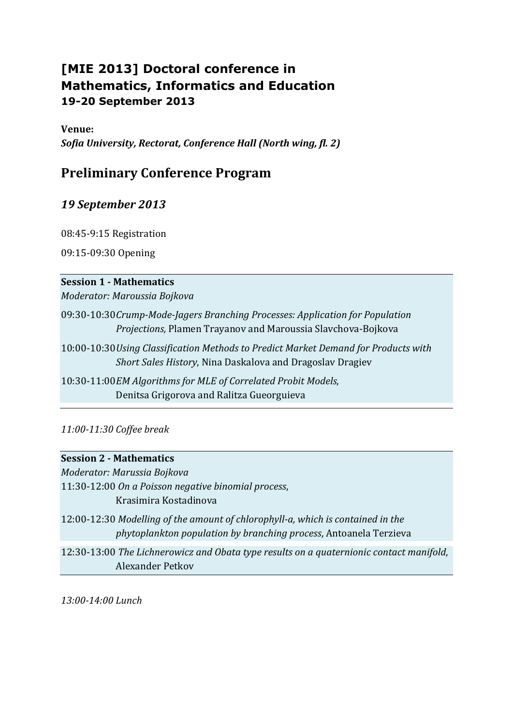# **[MIE 2013] Doctoral conference in Mathematics, Informatics and Education 19-20 September 2013**

**Venue:** 

*Sofia University, Rectorat, Conference Hall (North wing, fl. 2)*

## **Preliminary Conference Program**

## *19 September 2013*

08:45-9:15 Registration

09:15-09:30 Opening

### **Session 1 - Mathematics**

*Moderator: Maroussia Bojkova*

- 09:30-10:30*Crump-Mode-Jagers Branching Processes: Application for Population Projections,* Plamen Trayanov and Maroussia Slavchova-Bojkova
- 10:00-10:30*Using Classification Methods to Predict Market Demand for Products with Short Sales History*, Nina Daskalova and Dragoslav Dragiev

10:30-11:00*EM Algorithms for MLE of Correlated Probit Models*, Denitsa Grigorova and Ralitza Gueorguieva

*11:00-11:30 Coffee break*

### **Session 2 - Mathematics**

*Moderator: Marussia Bojkova*

11:30-12:00 *On a Poisson negative binomial process*, Krasimira Kostadinova

12:00-12:30 *Modelling of the amount of chlorophyll-a, which is contained in the phytoplankton population by branching process*, Antoanela Terzieva

12:30-13:00 *[The Lichnerowicz and Obata type results on a quaternionic contact manifold](https://www.easychair.org/conferences/submission_download.cgi?a=4246538;submission=1471584)*, Alexander Petkov

*13:00-14:00 Lunch*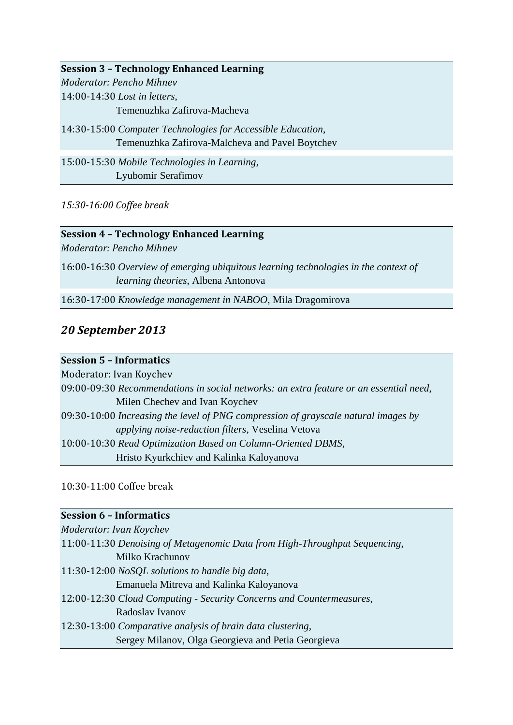**Session 3 – Technology Enhanced Learning** *Moderator: Pencho Mihnev* 14:00-14:30 *Lost in letters*, Temenuzhka Zafirova-Macheva 14:30-15:00 *Computer Technologies for Accessible Education*, Temenuzhka Zafirova-Malcheva and Pavel Boytchev

15:00-15:30 *Mobile Technologies in Learning*, Lyubomir Serafimov

*15:30-16:00 Coffee break*

### **Session 4 – Technology Enhanced Learning**

*Moderator: Pencho Mihnev*

16:00-16:30 *Overview of emerging ubiquitous learning technologies in the context of learning theories*, Albena Antonova

16:30-17:00 *Knowledge management in NABOO*, Mila Dragomirova

### *20 September 2013*

### **Session 5 – Informatics**

Moderator: Ivan Koychev 09:00-09:30 *Recommendations in social networks: an extra feature or an essential need*, Milen Chechev and Ivan Koychev 09:30-10:00 *Increasing the level of PNG compression of grayscale natural images by applying noise-reduction filters*, Veselina Vetova 10:00-10:30 *Read Optimization Based on Column-Oriented DBMS*, Hristo Kyurkchiev and Kalinka Kaloyanova

10:30-11:00 Coffee break

### **Session 6 – Informatics**

*Moderator: Ivan Koychev* 11:00-11:30 *Denoising of Metagenomic Data from High-Throughput Sequencing*, Milko Krachunov 11:30-12:00 *NoSQL solutions to handle big data*, Emanuela Mitreva and Kalinka Kaloyanova 12:00-12:30 *Cloud Computing - Security Concerns and Countermeasures*, Radoslav Ivanov 12:30-13:00 *Comparative analysis of brain data clustering,*  Sergey Milanov, Olga Georgieva and Petia Georgieva